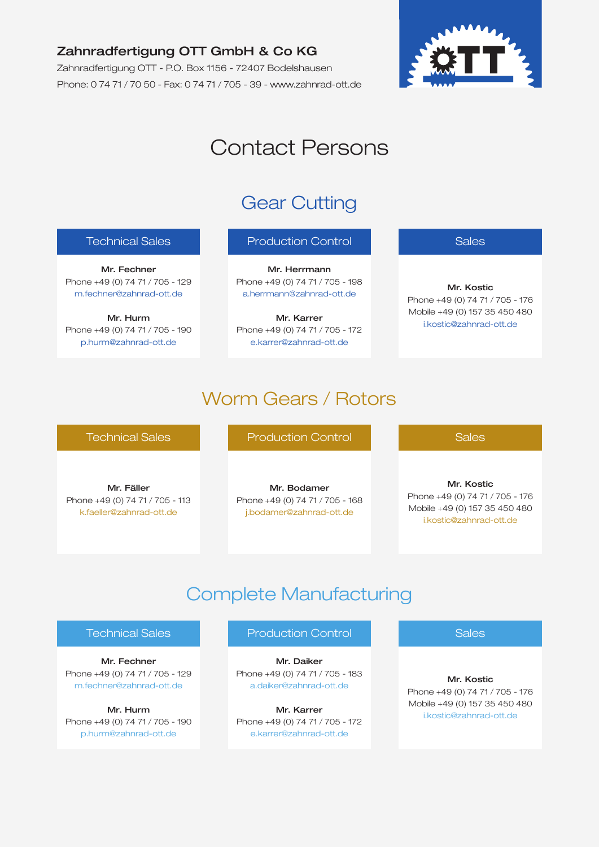## Zahnradfertigung OTT GmbH & Co KG

Zahnradfertigung OTT - P.O. Box 1156 - 72407 Bodelshausen Phone: 0 74 71 / 70 50 - Fax: 0 74 71 / 705 - 39 - www.zahnrad-ott.de



# Contact Persons

## Gear Cutting

### Technical Sales

Mr. Fechner Phone +49 (0) 74 71 / 705 - 129 m.fechner@zahnrad-ott.de

Mr. Hurm Phone +49 (0) 74 71 / 705 - 190 p.hurm@zahnrad-ott.de

### Production Control

Mr. Herrmann Phone +49 (0) 74 71 / 705 - 198 a.herrmann@zahnrad-ott.de

Mr. Karrer Phone +49 (0) 74 71 / 705 - 172 e.karrer@zahnrad-ott.de

### Sales

Mr. Kostic Phone +49 (0) 74 71 / 705 - 176 Mobile +49 (0) 157 35 450 480 i.kostic@zahnrad-ott.de

## Worm Gears / Rotors

### Technical Sales

Mr. Fäller Phone +49 (0) 74 71 / 705 - 113 k.faeller@zahnrad-ott.de

Production Control

Mr. Bodamer Phone +49 (0) 74 71 / 705 - 168 j.bodamer@zahnrad-ott.de

#### **Sales**

Mr. Kostic Phone +49 (0) 74 71 / 705 - 176 Mobile +49 (0) 157 35 450 480 i.kostic@zahnrad-ott.de

## Complete Manufacturing

#### Technical Sales

Mr. Fechner Phone +49 (0) 74 71 / 705 - 129 m.fechner@zahnrad-ott.de

Mr. Hurm Phone +49 (0) 74 71 / 705 - 190 p.hurm@zahnrad-ott.de

### Production Control

Mr. Daiker Phone +49 (0) 74 71 / 705 - 183 a.daiker@zahnrad-ott.de

Mr. Karrer Phone +49 (0) 74 71 / 705 - 172 e.karrer@zahnrad-ott.de

**Sales** 

Mr. Kostic Phone +49 (0) 74 71 / 705 - 176 Mobile +49 (0) 157 35 450 480 i.kostic@zahnrad-ott.de